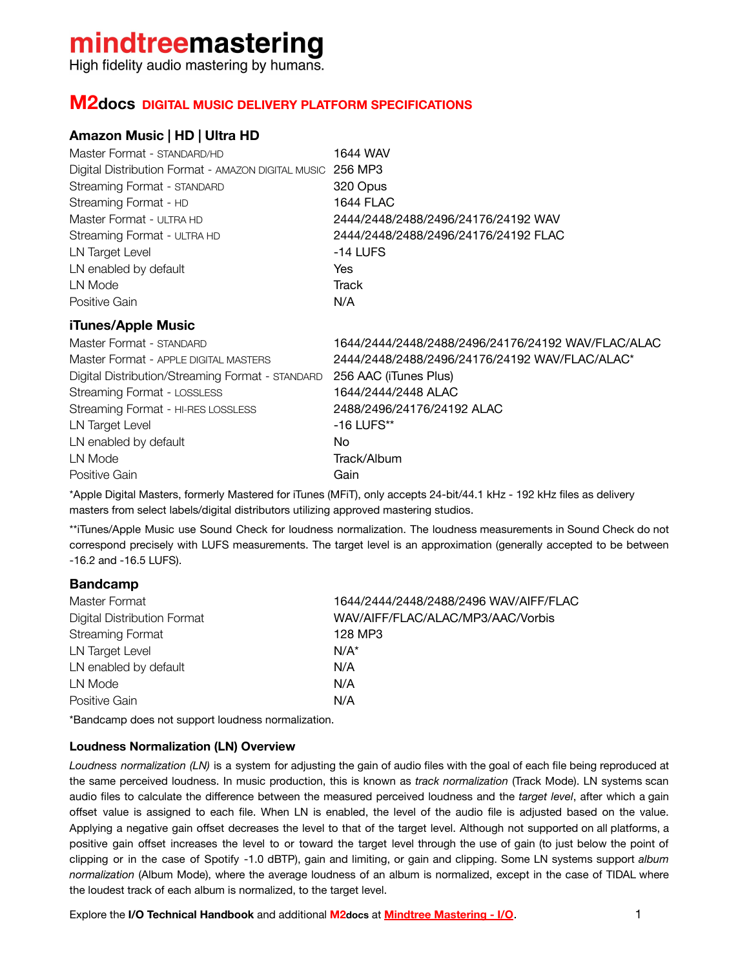## mindtreemastering

High fidelity audio mastering by humans.

#### **M2docs DIGITAL MUSIC DELIVERY PLATFORM SPECIFICATIONS**

#### **Amazon Music | HD | Ultra HD**

| Master Format - STANDARD/HD                                | 1644 WAV                             |
|------------------------------------------------------------|--------------------------------------|
| Digital Distribution Format - AMAZON DIGITAL MUSIC 256 MP3 |                                      |
| Streaming Format - STANDARD                                | 320 Opus                             |
| Streaming Format - HD                                      | <b>1644 FLAC</b>                     |
| Master Format - ULTRA HD                                   | 2444/2448/2488/2496/24176/24192 WAV  |
| Streaming Format - ULTRA HD                                | 2444/2448/2488/2496/24176/24192 FLAC |
| LN Target Level                                            | $-14$ LUFS                           |
| LN enabled by default                                      | Yes                                  |
| LN Mode                                                    | Track                                |
| Positive Gain                                              | N/A                                  |

#### **iTunes/Apple Music**

| Master Format - STANDARD                         | 1644/2444/2448/2488/2496/24176/24192 WAV/FLAC/ALAC |
|--------------------------------------------------|----------------------------------------------------|
| Master Format - APPLE DIGITAL MASTERS            | 2444/2448/2488/2496/24176/24192 WAV/FLAC/ALAC*     |
| Digital Distribution/Streaming Format - STANDARD | 256 AAC (iTunes Plus)                              |
| Streaming Format - LOSSLESS                      | 1644/2444/2448 ALAC                                |
| Streaming Format - HI-RES LOSSLESS               | 2488/2496/24176/24192 ALAC                         |
| LN Target Level                                  | $-16$ LUFS**                                       |
| LN enabled by default                            | No.                                                |
| LN Mode                                          | Track/Album                                        |
| Positive Gain                                    | Gain                                               |

\*Apple Digital Masters, formerly Mastered for iTunes (MFiT), only accepts 24-bit/44.1 kHz - 192 kHz files as delivery masters from select labels/digital distributors utilizing approved mastering studios.

\*\*iTunes/Apple Music use Sound Check for loudness normalization. The loudness measurements in Sound Check do not correspond precisely with LUFS measurements. The target level is an approximation (generally accepted to be between -16.2 and -16.5 LUFS).

#### **Bandcamp**

| 1644/2444/2448/2488/2496 WAV/AIFF/FLAC |
|----------------------------------------|
| WAV/AIFF/FLAC/ALAC/MP3/AAC/Vorbis      |
| 128 MP3                                |
| $N/A^*$                                |
| N/A                                    |
| N/A                                    |
| N/A                                    |
|                                        |

\*Bandcamp does not support loudness normalization.

#### **Loudness Normalization (LN) Overview**

*Loudness normalization (LN)* is a system for adjusting the gain of audio files with the goal of each file being reproduced at the same perceived loudness. In music production, this is known as *track normalization* (Track Mode). LN systems scan audio files to calculate the difference between the measured perceived loudness and the *target level*, after which a gain offset value is assigned to each file. When LN is enabled, the level of the audio file is adjusted based on the value. Applying a negative gain offset decreases the level to that of the target level. Although not supported on all platforms, a positive gain offset increases the level to or toward the target level through the use of gain (to just below the point of clipping or in the case of Spotify -1.0 dBTP), gain and limiting, or gain and clipping. Some LN systems support *album normalization* (Album Mode), where the average loudness of an album is normalized, except in the case of TIDAL where the loudest track of each album is normalized, to the target level.

Explore the **I/O Technical Handbook** and additional **M2docs** at **[Mindtree Mastering - I/O](https://www.mindtreemastering.com/i-o)**. 1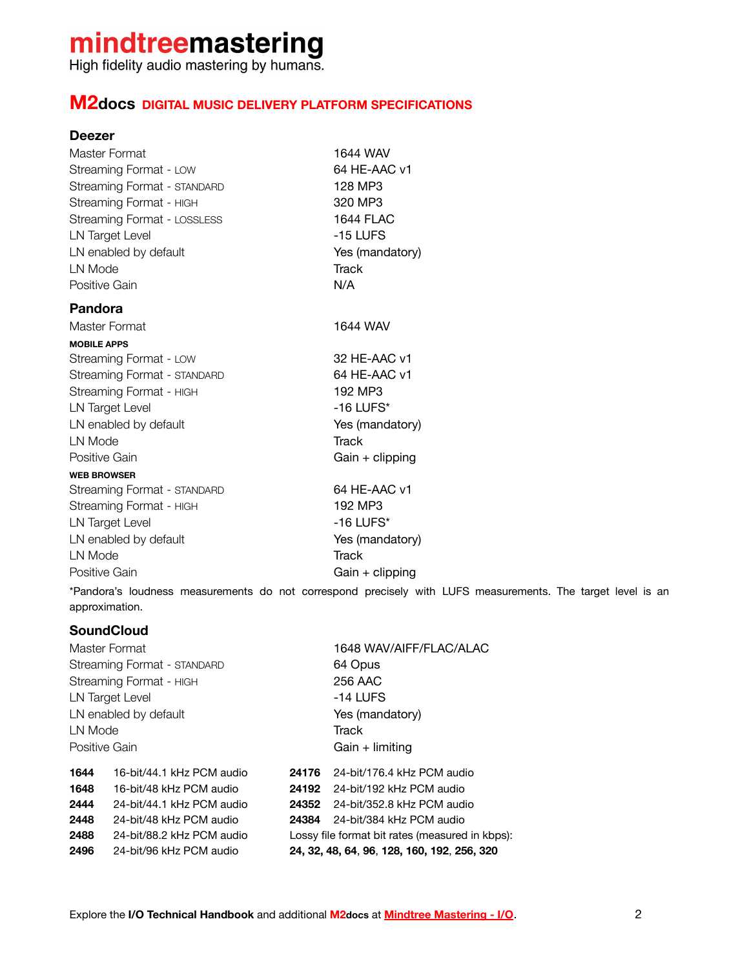## mindtreemastering

High fidelity audio mastering by humans.

#### **M2docs DIGITAL MUSIC DELIVERY PLATFORM SPECIFICATIONS**

#### **Deezer**

| Master Format               | 1644 WAV          |
|-----------------------------|-------------------|
| Streaming Format - LOW      | 64 HE-AAC v1      |
| Streaming Format - STANDARD | 128 MP3           |
| Streaming Format - HIGH     | 320 MP3           |
| Streaming Format - LOSSLESS | <b>1644 FLAC</b>  |
| LN Target Level             | -15 LUFS          |
| LN enabled by default       | Yes (mandatory)   |
| LN Mode                     | <b>Track</b>      |
| Positive Gain               | N/A               |
| Pandora                     |                   |
| Master Format               | 1644 WAV          |
| <b>MOBILE APPS</b>          |                   |
| Streaming Format - LOW      | 32 HE-AAC v1      |
| Streaming Format - STANDARD | 64 HE-AAC v1      |
| Streaming Format - HIGH     | 192 MP3           |
| LN Target Level             | $-16$ LUFS*       |
| LN enabled by default       | Yes (mandatory)   |
| LN Mode                     | <b>Track</b>      |
| Positive Gain               | $Gain + clipping$ |
| <b>WEB BROWSER</b>          |                   |
| Streaming Format - STANDARD | 64 HE-AAC v1      |
| Streaming Format - HIGH     | 192 MP3           |
| LN Target Level             | $-16$ LUFS*       |
| LN enabled by default       | Yes (mandatory)   |
| LN Mode                     | <b>Track</b>      |
| Positive Gain               | Gain + clipping   |

\*Pandora's loudness measurements do not correspond precisely with LUFS measurements. The target level is an approximation.

#### **SoundCloud**

Master Format 1648 WAV/AIFF/FLAC/ALAC Streaming Format - STANDARD 64 Opus Streaming Format - HIGH 256 AAC LN Target Level **CONTACT CONTACT ACTS** LN enabled by default Yes (mandatory) LN Mode Track Positive Gain **Gain** + limiting **1644** 16-bit/44.1 kHz PCM audio **24176** 24-bit/176.4 kHz PCM audio **1648** 16-bit/48 kHz PCM audio **24192** 24-bit/192 kHz PCM audio **2444** 24-bit/44.1 kHz PCM audio **24352** 24-bit/352.8 kHz PCM audio **2448** 24-bit/48 kHz PCM audio **24384** 24-bit/384 kHz PCM audio **2488** 24-bit/88.2 kHz PCM audio Lossy file format bit rates (measured in kbps): **2496** 24-bit/96 kHz PCM audio **24, 32, 48, 64**, **96**, **128, 160, 192**, **256, 320**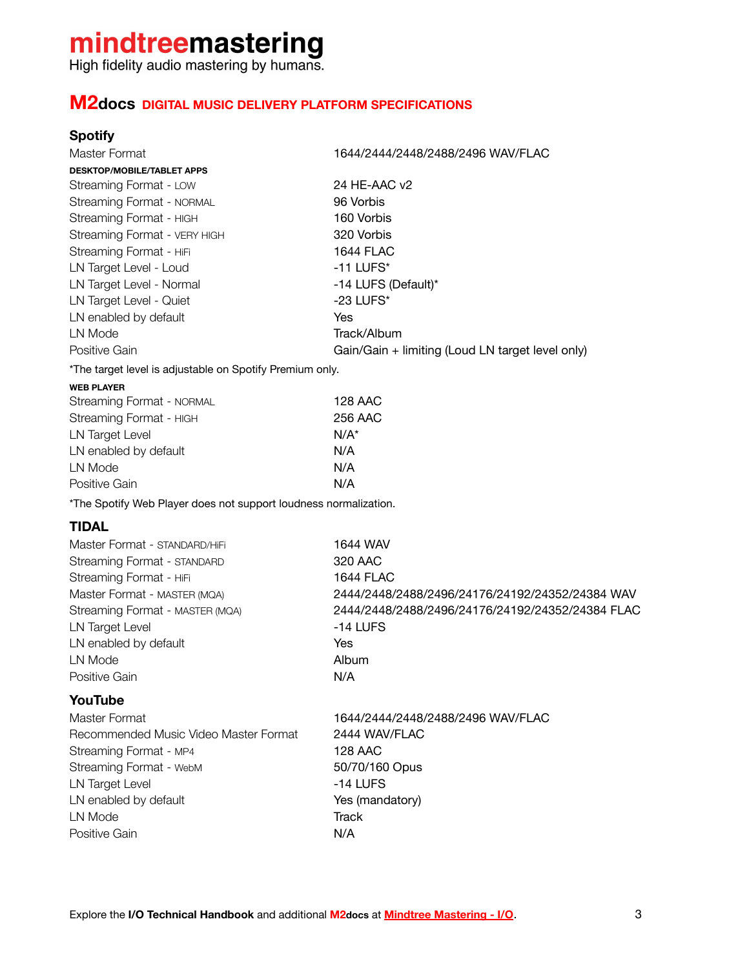# **mindtreemastering**<br>High fidelity audio mastering by humans.

### **M2docs DIGITAL MUSIC DELIVERY PLATFORM SPECIFICATIONS**

#### **Spotify**

| Master Format                                                    | 1644/2444/2448/2488/2496 WAV/FLAC                |
|------------------------------------------------------------------|--------------------------------------------------|
| <b>DESKTOP/MOBILE/TABLET APPS</b>                                |                                                  |
| Streaming Format - LOW                                           | 24 HE-AAC v2                                     |
| Streaming Format - NORMAL                                        | 96 Vorbis                                        |
| Streaming Format - HIGH                                          | 160 Vorbis                                       |
| Streaming Format - VERY HIGH                                     | 320 Vorbis                                       |
| Streaming Format - HiFi                                          | <b>1644 FLAC</b>                                 |
| LN Target Level - Loud                                           | $-11$ LUFS*                                      |
| LN Target Level - Normal                                         | -14 LUFS (Default)*                              |
| LN Target Level - Quiet                                          | $-23$ LUFS*                                      |
| LN enabled by default                                            | Yes                                              |
| LN Mode                                                          | Track/Album                                      |
| Positive Gain                                                    | Gain/Gain + limiting (Loud LN target level only) |
| *The target level is adjustable on Spotify Premium only.         |                                                  |
| <b>WEB PLAYER</b>                                                |                                                  |
| Streaming Format - NORMAL                                        | <b>128 AAC</b>                                   |
| Streaming Format - HIGH                                          | 256 AAC                                          |
| <b>LN Target Level</b>                                           | $N/A^*$                                          |
| LN enabled by default                                            | N/A                                              |
| LN Mode                                                          | N/A                                              |
| Positive Gain                                                    | N/A                                              |
| *The Spotify Web Player does not support loudness normalization. |                                                  |
| <b>TIDAL</b>                                                     |                                                  |
| Master Format - STANDARD/HiFi                                    | 1644 WAV                                         |
| Streaming Format - STANDARD                                      | 320 AAC                                          |
| Streaming Format - HiFi                                          | <b>1644 FLAC</b>                                 |
| Master Format - MASTER (MQA)                                     | 2444/2448/2488/2496/24176/24192/24352/24384 WAV  |
| Streaming Format - MASTER (MQA)                                  | 2444/2448/2488/2496/24176/24192/24352/24384 FLAC |
| LN Target Level                                                  | -14 LUFS                                         |
| LN enabled by default                                            | Yes                                              |
| LN Mode                                                          | Album                                            |
| Positive Gain                                                    | N/A                                              |
| YouTube                                                          |                                                  |
|                                                                  |                                                  |
| Master Format<br>Recommended Music Video Master Format           | 1644/2444/2448/2488/2496 WAV/FLAC                |
|                                                                  | 2444 WAV/FLAC                                    |
| Streaming Format - MP4                                           | <b>128 AAC</b>                                   |
| Streaming Format - WebM                                          | 50/70/160 Opus                                   |
| LN Target Level                                                  | -14 LUFS                                         |
| LN enabled by default                                            | Yes (mandatory)                                  |
| LN Mode<br>Positive Gain                                         | <b>Track</b><br>N/A                              |
|                                                                  |                                                  |